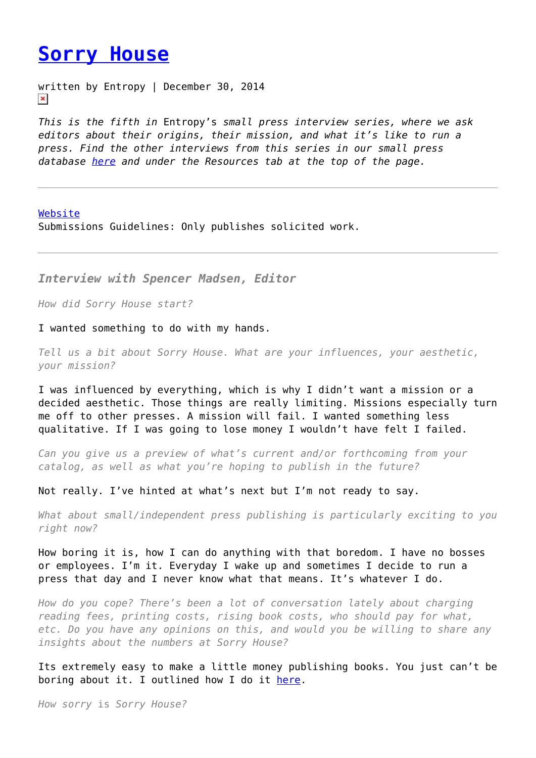## **[Sorry House](https://entropymag.org/sorry-house/)**

written by Entropy | December 30, 2014  $\pmb{\times}$ 

*This is the fifth in* Entropy's *small press interview series, where we ask editors about their origins, their mission, and what it's like to run a press. Find the other interviews from this series in our small press database [here](https://entropymag.org/category/small-press/) and under the Resources tab at the top of the page.*

## [Website](http://sorry.house)

Submissions Guidelines: Only publishes solicited work.

*Interview with Spencer Madsen, Editor*

*How did Sorry House start?*

I wanted something to do with my hands.

*Tell us a bit about Sorry House. What are your influences, your aesthetic, your mission?*

I was influenced by everything, which is why I didn't want a mission or a decided aesthetic. Those things are really limiting. Missions especially turn me off to other presses. A mission will fail. I wanted something less qualitative. If I was going to lose money I wouldn't have felt I failed.

*Can you give us a preview of what's current and/or forthcoming from your catalog, as well as what you're hoping to publish in the future?*

Not really. I've hinted at what's next but I'm not ready to say.

*What about small/independent press publishing is particularly exciting to you right now?*

How boring it is, how I can do anything with that boredom. I have no bosses or employees. I'm it. Everyday I wake up and sometimes I decide to run a press that day and I never know what that means. It's whatever I do.

*How do you cope? There's been a lot of conversation lately about charging reading fees, printing costs, rising book costs, who should pay for what, etc. Do you have any opinions on this, and would you be willing to share any insights about the numbers at Sorry House?*

Its extremely easy to make a little money publishing books. You just can't be boring about it. I outlined how I do it [here.](http://the-toast.net/2014/03/12/guide-to-starting-a-small-press/)

*How sorry* is *Sorry House?*